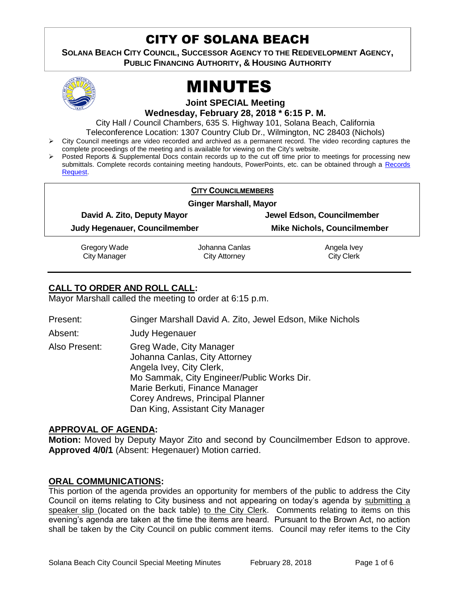# CITY OF SOLANA BEACH

**SOLANA BEACH CITY COUNCIL, SUCCESSOR AGENCY TO THE REDEVELOPMENT AGENCY, PUBLIC FINANCING AUTHORITY, & HOUSING AUTHORITY** 



# MINUTES

**Joint SPECIAL Meeting**

**Wednesday, February 28, 2018 \* 6:15 P. M.**

City Hall / Council Chambers, 635 S. Highway 101, Solana Beach, California

- Teleconference Location: 1307 Country Club Dr., Wilmington, NC 28403 (Nichols)
- City Council meetings are video recorded and archived as a permanent record. The video recording captures the complete proceedings of the meeting and is available for viewing on the City's website.
- Posted Reports & Supplemental Docs contain records up to the cut off time prior to meetings for processing new submittals. Complete records containing meeting handouts, PowerPoints, etc. can be obtained through a Records [Request.](http://www.ci.solana-beach.ca.us/index.asp?SEC=F5D45D10-70CE-4291-A27C-7BD633FC6742&Type=B_BASIC)

|                               | <b>CITY COUNCILMEMBERS</b> |                                    |  |
|-------------------------------|----------------------------|------------------------------------|--|
| <b>Ginger Marshall, Mayor</b> |                            |                                    |  |
| David A. Zito, Deputy Mayor   |                            | Jewel Edson, Councilmember         |  |
| Judy Hegenauer, Councilmember |                            | <b>Mike Nichols, Councilmember</b> |  |
| Gregory Wade                  | Johanna Canlas             | Angela Ivey                        |  |
| <b>City Manager</b>           | <b>City Attorney</b>       | <b>City Clerk</b>                  |  |

City Attorney

# **CALL TO ORDER AND ROLL CALL:**

Mayor Marshall called the meeting to order at 6:15 p.m.

- Present: Ginger Marshall David A. Zito, Jewel Edson, Mike Nichols
- Absent: Judy Hegenauer
- Also Present: Greg Wade, City Manager Johanna Canlas, City Attorney Angela Ivey, City Clerk, Mo Sammak, City Engineer/Public Works Dir. Marie Berkuti, Finance Manager Corey Andrews, Principal Planner Dan King, Assistant City Manager

#### **APPROVAL OF AGENDA:**

**Motion:** Moved by Deputy Mayor Zito and second by Councilmember Edson to approve. **Approved 4/0/1** (Absent: Hegenauer) Motion carried.

# **ORAL COMMUNICATIONS:**

This portion of the agenda provides an opportunity for members of the public to address the City Council on items relating to City business and not appearing on today's agenda by submitting a speaker slip (located on the back table) to the City Clerk. Comments relating to items on this evening's agenda are taken at the time the items are heard. Pursuant to the Brown Act, no action shall be taken by the City Council on public comment items. Council may refer items to the City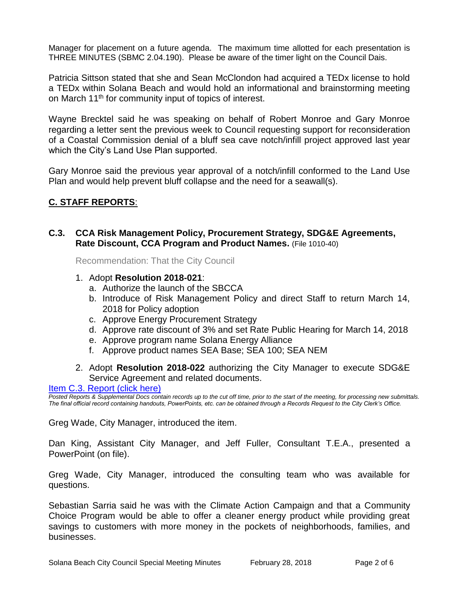Manager for placement on a future agenda. The maximum time allotted for each presentation is THREE MINUTES (SBMC 2.04.190). Please be aware of the timer light on the Council Dais.

Patricia Sittson stated that she and Sean McClondon had acquired a TEDx license to hold a TEDx within Solana Beach and would hold an informational and brainstorming meeting on March 11<sup>th</sup> for community input of topics of interest.

Wayne Brecktel said he was speaking on behalf of Robert Monroe and Gary Monroe regarding a letter sent the previous week to Council requesting support for reconsideration of a Coastal Commission denial of a bluff sea cave notch/infill project approved last year which the City's Land Use Plan supported.

Gary Monroe said the previous year approval of a notch/infill conformed to the Land Use Plan and would help prevent bluff collapse and the need for a seawall(s).

# **C. STAFF REPORTS**:

#### **C.3. CCA Risk Management Policy, Procurement Strategy, SDG&E Agreements, Rate Discount, CCA Program and Product Names.** (File 1010-40)

Recommendation: That the City Council

- 1. Adopt **Resolution 2018-021**:
	- a. Authorize the launch of the SBCCA
	- b. Introduce of Risk Management Policy and direct Staff to return March 14, 2018 for Policy adoption
	- c. Approve Energy Procurement Strategy
	- d. Approve rate discount of 3% and set Rate Public Hearing for March 14, 2018
	- e. Approve program name Solana Energy Alliance
	- f. Approve product names SEA Base; SEA 100; SEA NEM
- 2. Adopt **Resolution 2018-022** authorizing the City Manager to execute SDG&E Service Agreement and related documents.

#### [Item C.3. Report \(click here\)](https://solanabeach.govoffice3.com/vertical/Sites/%7B840804C2-F869-4904-9AE3-720581350CE7%7D/uploads/Item_C.3._Report_(click_here)_-_02-08-18.PDF)

*Posted Reports & Supplemental Docs contain records up to the cut off time, prior to the start of the meeting, for processing new submittals. The final official record containing handouts, PowerPoints, etc. can be obtained through a Records Request to the City Clerk's Office.*

Greg Wade, City Manager, introduced the item.

Dan King, Assistant City Manager, and Jeff Fuller, Consultant T.E.A., presented a PowerPoint (on file).

Greg Wade, City Manager, introduced the consulting team who was available for questions.

Sebastian Sarria said he was with the Climate Action Campaign and that a Community Choice Program would be able to offer a cleaner energy product while providing great savings to customers with more money in the pockets of neighborhoods, families, and businesses.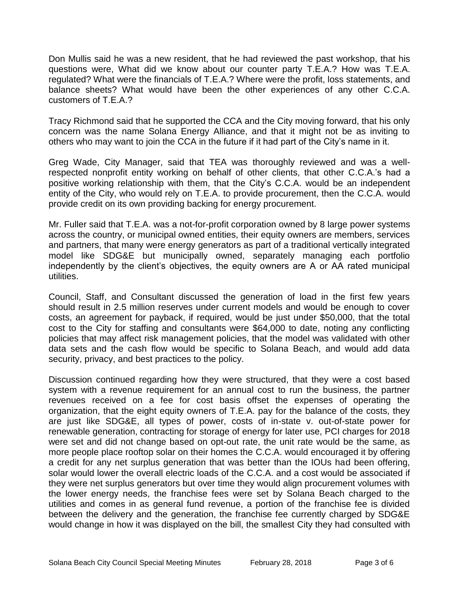Don Mullis said he was a new resident, that he had reviewed the past workshop, that his questions were, What did we know about our counter party T.E.A.? How was T.E.A. regulated? What were the financials of T.E.A.? Where were the profit, loss statements, and balance sheets? What would have been the other experiences of any other C.C.A. customers of T.E.A.?

Tracy Richmond said that he supported the CCA and the City moving forward, that his only concern was the name Solana Energy Alliance, and that it might not be as inviting to others who may want to join the CCA in the future if it had part of the City's name in it.

Greg Wade, City Manager, said that TEA was thoroughly reviewed and was a wellrespected nonprofit entity working on behalf of other clients, that other C.C.A.'s had a positive working relationship with them, that the City's C.C.A. would be an independent entity of the City, who would rely on T.E.A. to provide procurement, then the C.C.A. would provide credit on its own providing backing for energy procurement.

Mr. Fuller said that T.E.A. was a not-for-profit corporation owned by 8 large power systems across the country, or municipal owned entities, their equity owners are members, services and partners, that many were energy generators as part of a traditional vertically integrated model like SDG&E but municipally owned, separately managing each portfolio independently by the client's objectives, the equity owners are A or AA rated municipal utilities.

Council, Staff, and Consultant discussed the generation of load in the first few years should result in 2.5 million reserves under current models and would be enough to cover costs, an agreement for payback, if required, would be just under \$50,000, that the total cost to the City for staffing and consultants were \$64,000 to date, noting any conflicting policies that may affect risk management policies, that the model was validated with other data sets and the cash flow would be specific to Solana Beach, and would add data security, privacy, and best practices to the policy.

Discussion continued regarding how they were structured, that they were a cost based system with a revenue requirement for an annual cost to run the business, the partner revenues received on a fee for cost basis offset the expenses of operating the organization, that the eight equity owners of T.E.A. pay for the balance of the costs, they are just like SDG&E, all types of power, costs of in-state v. out-of-state power for renewable generation, contracting for storage of energy for later use, PCI charges for 2018 were set and did not change based on opt-out rate, the unit rate would be the same, as more people place rooftop solar on their homes the C.C.A. would encouraged it by offering a credit for any net surplus generation that was better than the IOUs had been offering, solar would lower the overall electric loads of the C.C.A. and a cost would be associated if they were net surplus generators but over time they would align procurement volumes with the lower energy needs, the franchise fees were set by Solana Beach charged to the utilities and comes in as general fund revenue, a portion of the franchise fee is divided between the delivery and the generation, the franchise fee currently charged by SDG&E would change in how it was displayed on the bill, the smallest City they had consulted with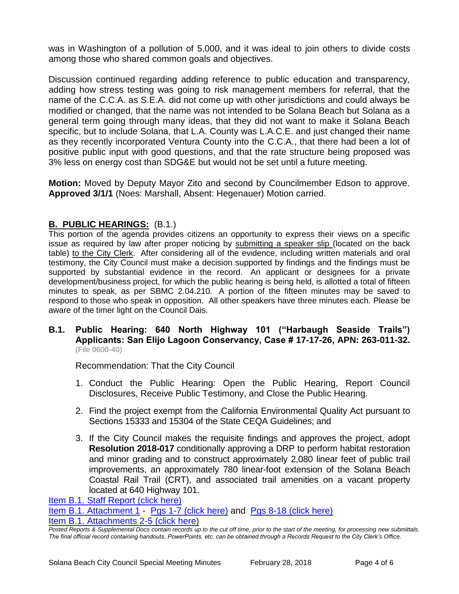was in Washington of a pollution of 5,000, and it was ideal to join others to divide costs among those who shared common goals and objectives.

Discussion continued regarding adding reference to public education and transparency, adding how stress testing was going to risk management members for referral, that the name of the C.C.A. as S.E.A. did not come up with other jurisdictions and could always be modified or changed, that the name was not intended to be Solana Beach but Solana as a general term going through many ideas, that they did not want to make it Solana Beach specific, but to include Solana, that L.A. County was L.A.C.E. and just changed their name as they recently incorporated Ventura County into the C.C.A., that there had been a lot of positive public input with good questions, and that the rate structure being proposed was 3% less on energy cost than SDG&E but would not be set until a future meeting.

**Motion:** Moved by Deputy Mayor Zito and second by Councilmember Edson to approve. **Approved 3/1/1** (Noes: Marshall, Absent: Hegenauer) Motion carried.

# **B. PUBLIC HEARINGS:** (B.1.)

This portion of the agenda provides citizens an opportunity to express their views on a specific issue as required by law after proper noticing by submitting a speaker slip (located on the back table) to the City Clerk. After considering all of the evidence, including written materials and oral testimony, the City Council must make a decision supported by findings and the findings must be supported by substantial evidence in the record. An applicant or designees for a private development/business project, for which the public hearing is being held, is allotted a total of fifteen minutes to speak, as per SBMC 2.04.210. A portion of the fifteen minutes may be saved to respond to those who speak in opposition. All other speakers have three minutes each. Please be aware of the timer light on the Council Dais.

**B.1. Public Hearing: 640 North Highway 101 ("Harbaugh Seaside Trails") Applicants: San Elijo Lagoon Conservancy, Case # 17-17-26, APN: 263-011-32.** (File 0600-40)

Recommendation: That the City Council

- 1. Conduct the Public Hearing: Open the Public Hearing, Report Council Disclosures, Receive Public Testimony, and Close the Public Hearing.
- 2. Find the project exempt from the California Environmental Quality Act pursuant to Sections 15333 and 15304 of the State CEQA Guidelines; and
- 3. If the City Council makes the requisite findings and approves the project, adopt **Resolution 2018-017** conditionally approving a DRP to perform habitat restoration and minor grading and to construct approximately 2,080 linear feet of public trail improvements, an approximately 780 linear-foot extension of the Solana Beach Coastal Rail Trail (CRT), and associated trail amenities on a vacant property located at 640 Highway 101.

[Item B.1. Staff Report](https://solanabeach.govoffice3.com/vertical/Sites/%7B840804C2-F869-4904-9AE3-720581350CE7%7D/uploads/Item_B.1._Report_(click_here)_-_02-28-18.pdf) (click here)

Item B.1. Attachment 1 - [Pgs 1-7 \(click here\)](https://solanabeach.govoffice3.com/vertical/Sites/%7B840804C2-F869-4904-9AE3-720581350CE7%7D/uploads/Item_B.1._Attachment_1_(Pages_1-7)_(click_here)_-_02-28-18.pdf) and [Pgs 8-18 \(click here\)](https://solanabeach.govoffice3.com/vertical/Sites/%7B840804C2-F869-4904-9AE3-720581350CE7%7D/uploads/Item_B.1._Attachment_1_(Pages_1-7)_(click_here)_-_02-28-18.pdf) [Item B.1. Attachments 2-5 \(click here\)](https://solanabeach.govoffice3.com/vertical/Sites/%7B840804C2-F869-4904-9AE3-720581350CE7%7D/uploads/Item_B.1._Attachments_2-5_(click_here)_-_02-28-18.pdf)

*Posted Reports & Supplemental Docs contain records up to the cut off time, prior to the start of the meeting, for processing new submittals. The final official record containing handouts, PowerPoints, etc. can be obtained through a Records Request to the City Clerk's Office.*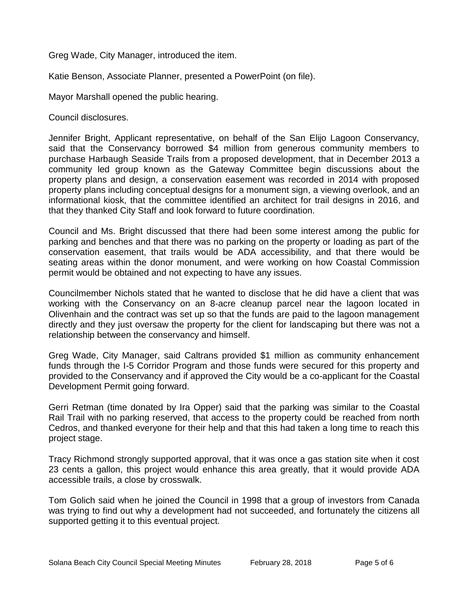Greg Wade, City Manager, introduced the item.

Katie Benson, Associate Planner, presented a PowerPoint (on file).

Mayor Marshall opened the public hearing.

Council disclosures.

Jennifer Bright, Applicant representative, on behalf of the San Elijo Lagoon Conservancy, said that the Conservancy borrowed \$4 million from generous community members to purchase Harbaugh Seaside Trails from a proposed development, that in December 2013 a community led group known as the Gateway Committee begin discussions about the property plans and design, a conservation easement was recorded in 2014 with proposed property plans including conceptual designs for a monument sign, a viewing overlook, and an informational kiosk, that the committee identified an architect for trail designs in 2016, and that they thanked City Staff and look forward to future coordination.

Council and Ms. Bright discussed that there had been some interest among the public for parking and benches and that there was no parking on the property or loading as part of the conservation easement, that trails would be ADA accessibility, and that there would be seating areas within the donor monument, and were working on how Coastal Commission permit would be obtained and not expecting to have any issues.

Councilmember Nichols stated that he wanted to disclose that he did have a client that was working with the Conservancy on an 8-acre cleanup parcel near the lagoon located in Olivenhain and the contract was set up so that the funds are paid to the lagoon management directly and they just oversaw the property for the client for landscaping but there was not a relationship between the conservancy and himself.

Greg Wade, City Manager, said Caltrans provided \$1 million as community enhancement funds through the I-5 Corridor Program and those funds were secured for this property and provided to the Conservancy and if approved the City would be a co-applicant for the Coastal Development Permit going forward.

Gerri Retman (time donated by Ira Opper) said that the parking was similar to the Coastal Rail Trail with no parking reserved, that access to the property could be reached from north Cedros, and thanked everyone for their help and that this had taken a long time to reach this project stage.

Tracy Richmond strongly supported approval, that it was once a gas station site when it cost 23 cents a gallon, this project would enhance this area greatly, that it would provide ADA accessible trails, a close by crosswalk.

Tom Golich said when he joined the Council in 1998 that a group of investors from Canada was trying to find out why a development had not succeeded, and fortunately the citizens all supported getting it to this eventual project.